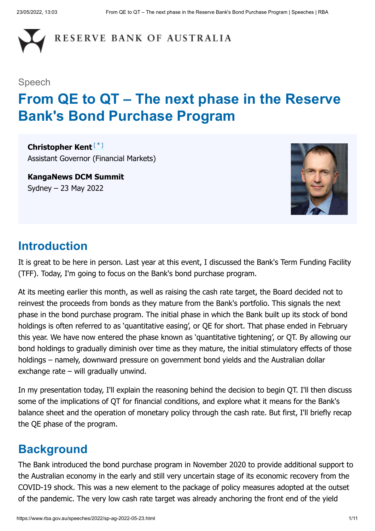

#### Speech

# **From QE to QT – The next phase in the Reserve Bank's Bond Purchase Program**

<span id="page-0-0"></span>**Christopher Kent** [\*]Assistant Governor (Financial Markets)

**KangaNews DCM Summit** Sydney – 23 May 2022



# **Introduction**

It is great to be here in person. Last year at this event, I discussed the Bank's Term Funding Facility (TFF). Today, I'm going to focus on the Bank's bond purchase program.

At its meeting earlier this month, as well as raising the cash rate target, the Board decided not to reinvest the proceeds from bonds as they mature from the Bank's portfolio. This signals the next phase in the bond purchase program. The initial phase in which the Bank built up its stock of bond holdings is often referred to as 'quantitative easing', or QE for short. That phase ended in February this year. We have now entered the phase known as 'quantitative tightening', or QT. By allowing our bond holdings to gradually diminish over time as they mature, the initial stimulatory effects of those holdings – namely, downward pressure on government bond yields and the Australian dollar exchange rate – will gradually unwind.

In my presentation today, I'll explain the reasoning behind the decision to begin QT. I'll then discuss some of the implications of QT for financial conditions, and explore what it means for the Bank's balance sheet and the operation of monetary policy through the cash rate. But first, I'll briefly recap the QE phase of the program.

# **Background**

The Bank introduced the bond purchase program in November 2020 to provide additional support to the Australian economy in the early and still very uncertain stage of its economic recovery from the COVID-19 shock. This was a new element to the package of policy measures adopted at the outset of the pandemic. The very low cash rate target was already anchoring the front end of the yield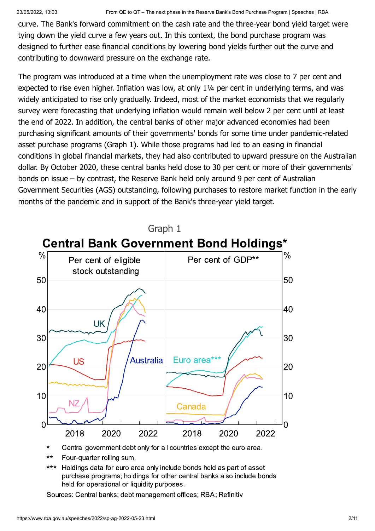curve. The Bank's forward commitment on the cash rate and the three-year bond yield target were tying down the yield curve a few years out. In this context, the bond purchase program was designed to further ease financial conditions by lowering bond yields further out the curve and contributing to downward pressure on the exchange rate.

The program was introduced at a time when the unemployment rate was close to 7 per cent and expected to rise even higher. Inflation was low, at only 1¼ per cent in underlying terms, and was widely anticipated to rise only gradually. Indeed, most of the market economists that we regularly survey were forecasting that underlying inflation would remain well below 2 per cent until at least the end of 2022. In addition, the central banks of other major advanced economies had been purchasing significant amounts of their governments' bonds for some time under pandemic-related asset purchase programs (Graph 1). While those programs had led to an easing in financial conditions in global financial markets, they had also contributed to upward pressure on the Australian dollar. By October 2020, these central banks held close to 30 per cent or more of their governments' bonds on issue – by contrast, the Reserve Bank held only around 9 per cent of Australian Government Securities (AGS) outstanding, following purchases to restore market function in the early months of the pandemic and in support of the Bank's three-year yield target.



- Central government debt only for all countries except the euro area.  $\star$
- Four-quarter rolling sum.  $\star\star$
- $***$ Holdings data for euro area only include bonds held as part of asset purchase programs; holdings for other central banks also include bonds held for operational or liquidity purposes.

Sources: Central banks; debt management offices; RBA; Refinitiv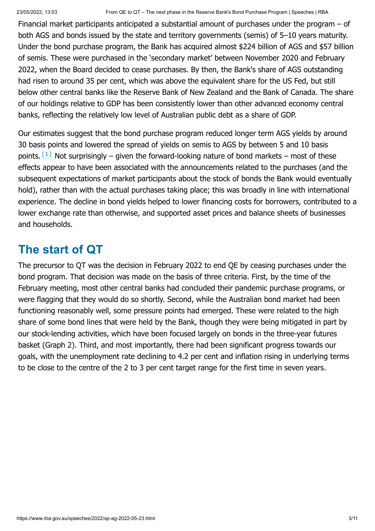Financial market participants anticipated a substantial amount of purchases under the program – of both AGS and bonds issued by the state and territory governments (semis) of 5–10 years maturity. Under the bond purchase program, the Bank has acquired almost \$224 billion of AGS and \$57 billion of semis. These were purchased in the 'secondary market' between November 2020 and February 2022, when the Board decided to cease purchases. By then, the Bank's share of AGS outstanding had risen to around 35 per cent, which was above the equivalent share for the US Fed, but still below other central banks like the Reserve Bank of New Zealand and the Bank of Canada. The share of our holdings relative to GDP has been consistently lower than other advanced economy central banks, reflecting the relatively low level of Australian public debt as a share of GDP.

<span id="page-2-0"></span>Our estimates suggest that the bond purchase program reduced longer term AGS yields by around 30 basis points and lowered the spread of yields on semis to AGS by between 5 and 10 basis points.  $\left[1\right]$  Not surprisingly – given the forward-looking nature of bond markets – most of these effects appear to have been associated with the announcements related to the purchases (and the subsequent expectations of market participants about the stock of bonds the Bank would eventually hold), rather than with the actual purchases taking place; this was broadly in line with international experience. The decline in bond yields helped to lower financing costs for borrowers, contributed to a lower exchange rate than otherwise, and supported asset prices and balance sheets of businesses and households.

# **The start of QT**

The precursor to QT was the decision in February 2022 to end QE by ceasing purchases under the bond program. That decision was made on the basis of three criteria. First, by the time of the February meeting, most other central banks had concluded their pandemic purchase programs, or were flagging that they would do so shortly. Second, while the Australian bond market had been functioning reasonably well, some pressure points had emerged. These were related to the high share of some bond lines that were held by the Bank, though they were being mitigated in part by our stock-lending activities, which have been focused largely on bonds in the three-year futures basket (Graph 2). Third, and most importantly, there had been significant progress towards our goals, with the unemployment rate declining to 4.2 per cent and inflation rising in underlying terms to be close to the centre of the 2 to 3 per cent target range for the first time in seven years.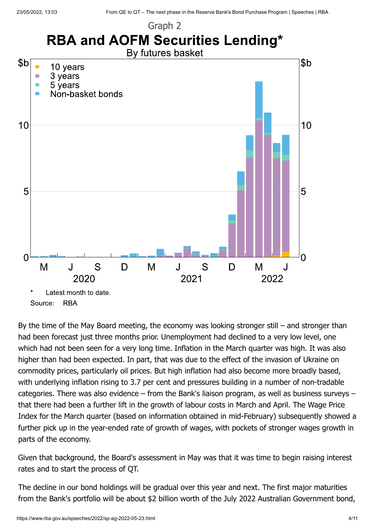

By the time of the May Board meeting, the economy was looking stronger still – and stronger than had been forecast just three months prior. Unemployment had declined to a very low level, one which had not been seen for a very long time. Inflation in the March quarter was high. It was also higher than had been expected. In part, that was due to the effect of the invasion of Ukraine on commodity prices, particularly oil prices. But high inflation had also become more broadly based, with underlying inflation rising to 3.7 per cent and pressures building in a number of non-tradable categories. There was also evidence – from the Bank's liaison program, as well as business surveys – that there had been a further lift in the growth of labour costs in March and April. The Wage Price Index for the March quarter (based on information obtained in mid-February) subsequently showed a further pick up in the year-ended rate of growth of wages, with pockets of stronger wages growth in parts of the economy.

Given that background, the Board's assessment in May was that it was time to begin raising interest rates and to start the process of QT.

The decline in our bond holdings will be gradual over this year and next. The first major maturities from the Bank's portfolio will be about \$2 billion worth of the July 2022 Australian Government bond,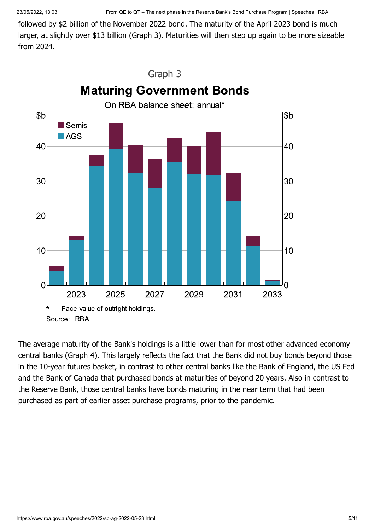followed by \$2 billion of the November 2022 bond. The maturity of the April 2023 bond is much larger, at slightly over \$13 billion (Graph 3). Maturities will then step up again to be more sizeable from 2024.



The average maturity of the Bank's holdings is a little lower than for most other advanced economy central banks (Graph 4). This largely reflects the fact that the Bank did not buy bonds beyond those in the 10-year futures basket, in contrast to other central banks like the Bank of England, the US Fed and the Bank of Canada that purchased bonds at maturities of beyond 20 years. Also in contrast to the Reserve Bank, those central banks have bonds maturing in the near term that had been purchased as part of earlier asset purchase programs, prior to the pandemic.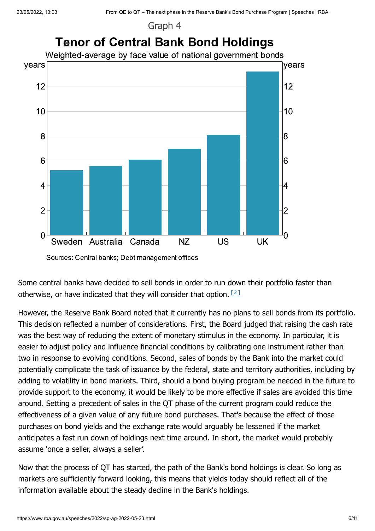Graph 4



<span id="page-5-0"></span>Sources: Central banks; Debt management offices

Some central banks have decided to sell bonds in order to run down their portfolio faster than otherwise, or have indicated that they will consider that option. [2]

However, the Reserve Bank Board noted that it currently has no plans to sell bonds from its portfolio. This decision reflected a number of considerations. First, the Board judged that raising the cash rate was the best way of reducing the extent of monetary stimulus in the economy. In particular, it is easier to adjust policy and influence financial conditions by calibrating one instrument rather than two in response to evolving conditions. Second, sales of bonds by the Bank into the market could potentially complicate the task of issuance by the federal, state and territory authorities, including by adding to volatility in bond markets. Third, should a bond buying program be needed in the future to provide support to the economy, it would be likely to be more effective if sales are avoided this time around. Setting a precedent of sales in the QT phase of the current program could reduce the effectiveness of a given value of any future bond purchases. That's because the effect of those purchases on bond yields and the exchange rate would arguably be lessened if the market anticipates a fast run down of holdings next time around. In short, the market would probably assume 'once a seller, always a seller'.

Now that the process of QT has started, the path of the Bank's bond holdings is clear. So long as markets are sufficiently forward looking, this means that yields today should reflect all of the information available about the steady decline in the Bank's holdings.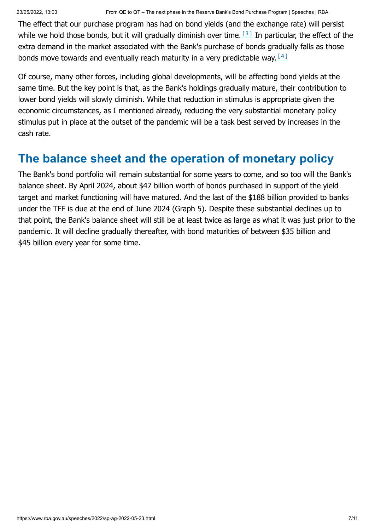<span id="page-6-0"></span>The effect that our purchase program has had on bond yields (and the exchange rate) will persist while we hold those bonds, but it will gradually diminish over time.  $[3]$  In particular, the effect of the extra demand in the market associated with the Bank's purchase of bonds gradually falls as those bonds move towards and eventually reach maturity in a very predictable way.  $[4]$ 

<span id="page-6-1"></span>Of course, many other forces, including global developments, will be affecting bond yields at the same time. But the key point is that, as the Bank's holdings gradually mature, their contribution to lower bond yields will slowly diminish. While that reduction in stimulus is appropriate given the economic circumstances, as I mentioned already, reducing the very substantial monetary policy stimulus put in place at the outset of the pandemic will be a task best served by increases in the cash rate.

# **The balance sheet and the operation of monetary policy**

The Bank's bond portfolio will remain substantial for some years to come, and so too will the Bank's balance sheet. By April 2024, about \$47 billion worth of bonds purchased in support of the yield target and market functioning will have matured. And the last of the \$188 billion provided to banks under the TFF is due at the end of June 2024 (Graph 5). Despite these substantial declines up to that point, the Bank's balance sheet will still be at least twice as large as what it was just prior to the pandemic. It will decline gradually thereafter, with bond maturities of between \$35 billion and \$45 billion every year for some time.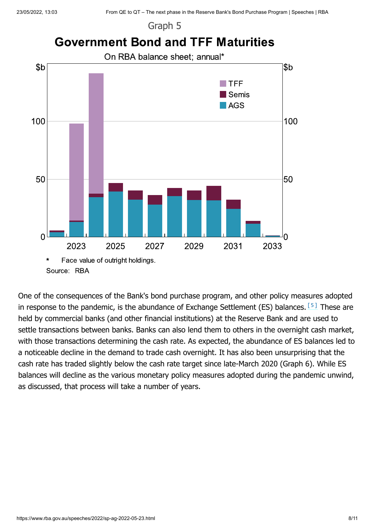Graph 5



<span id="page-7-0"></span>Source: RBA

One of the consequences of the Bank's bond purchase program, and other policy measures adopted in response to the pandemic, is the abundance of Exchange Settlement (ES) balances.  $[5]$  These are held by commercial banks (and other financial institutions) at the Reserve Bank and are used to settle transactions between banks. Banks can also lend them to others in the overnight cash market, with those transactions determining the cash rate. As expected, the abundance of ES balances led to a noticeable decline in the demand to trade cash overnight. It has also been unsurprising that the cash rate has traded slightly below the cash rate target since late-March 2020 (Graph 6). While ES balances will decline as the various monetary policy measures adopted during the pandemic unwind, as discussed, that process will take a number of years.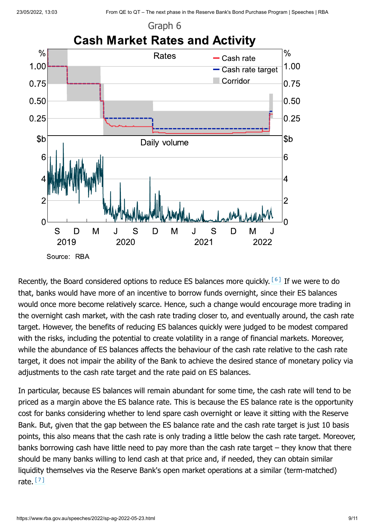

<span id="page-8-0"></span>Recently, the Board considered options to reduce ES balances more quickly.  $[6]$  If we were to do that, banks would have more of an incentive to borrow funds overnight, since their ES balances would once more become relatively scarce. Hence, such a change would encourage more trading in the overnight cash market, with the cash rate trading closer to, and eventually around, the cash rate target. However, the benefits of reducing ES balances quickly were judged to be modest compared with the risks, including the potential to create volatility in a range of financial markets. Moreover, while the abundance of ES balances affects the behaviour of the cash rate relative to the cash rate target, it does not impair the ability of the Bank to achieve the desired stance of monetary policy via adjustments to the cash rate target and the rate paid on ES balances.

<span id="page-8-1"></span>In particular, because ES balances will remain abundant for some time, the cash rate will tend to be priced as a margin above the ES balance rate. This is because the ES balance rate is the opportunity cost for banks considering whether to lend spare cash overnight or leave it sitting with the Reserve Bank. But, given that the gap between the ES balance rate and the cash rate target is just 10 basis points, this also means that the cash rate is only trading a little below the cash rate target. Moreover, banks borrowing cash have little need to pay more than the cash rate target – they know that there should be many banks willing to lend cash at that price and, if needed, they can obtain similar liquidity themselves via the Reserve Bank's open market operations at a similar (term-matched) rate. <u>[7]</u>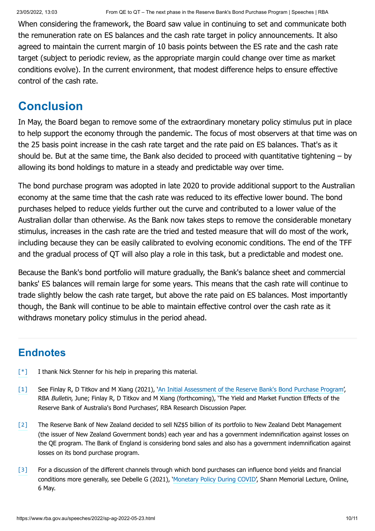When considering the framework, the Board saw value in continuing to set and communicate both the remuneration rate on ES balances and the cash rate target in policy announcements. It also agreed to maintain the current margin of 10 basis points between the ES rate and the cash rate target (subject to periodic review, as the appropriate margin could change over time as market conditions evolve). In the current environment, that modest difference helps to ensure effective control of the cash rate.

# **Conclusion**

In May, the Board began to remove some of the extraordinary monetary policy stimulus put in place to help support the economy through the pandemic. The focus of most observers at that time was on the 25 basis point increase in the cash rate target and the rate paid on ES balances. That's as it should be. But at the same time, the Bank also decided to proceed with quantitative tightening – by allowing its bond holdings to mature in a steady and predictable way over time.

The bond purchase program was adopted in late 2020 to provide additional support to the Australian economy at the same time that the cash rate was reduced to its effective lower bound. The bond purchases helped to reduce yields further out the curve and contributed to a lower value of the Australian dollar than otherwise. As the Bank now takes steps to remove the considerable monetary stimulus, increases in the cash rate are the tried and tested measure that will do most of the work, including because they can be easily calibrated to evolving economic conditions. The end of the TFF and the gradual process of QT will also play a role in this task, but a predictable and modest one.

Because the Bank's bond portfolio will mature gradually, the Bank's balance sheet and commercial banks' ES balances will remain large for some years. This means that the cash rate will continue to trade slightly below the cash rate target, but above the rate paid on ES balances. Most importantly though, the Bank will continue to be able to maintain effective control over the cash rate as it withdraws monetary policy stimulus in the period ahead.

### **Endnotes**

- [\[\\*\]](#page-0-0) I thank Nick Stenner for his help in preparing this material.
- See Finlay R, D Titkov and M Xiang (2021), 'An [Initial Assessment of the Reserve Bank's Bond Purchase Program](https://www.rba.gov.au/publications/bulletin/2021/jun/an-initial-assessment-of-the-reserve-banks-bond-purchase-program.html)', RBA Bulletin, June; Finlay R, D Titkov and M Xiang (forthcoming), 'The Yield and Market Function Effects of the Reserve Bank of Australia's Bond Purchases', RBA Research Discussion Paper. [\[1\]](#page-2-0)
- The Reserve Bank of New Zealand decided to sell NZ\$5 billion of its portfolio to New Zealand Debt Management (the issuer of New Zealand Government bonds) each year and has a government indemnification against losses on the QE program. The Bank of England is considering bond sales and also has a government indemnification against losses on its bond purchase program. [\[2\]](#page-5-0)
- For a discussion of the different channels through which bond purchases can influence bond yields and financial conditions more generally, see Debelle G (2021), ['Monetary Policy](https://www.rba.gov.au/speeches/2021/sp-dg-2021-05-06.html) During COVID', Shann Memorial Lecture, Online, 6 May. [\[3\]](#page-6-0)